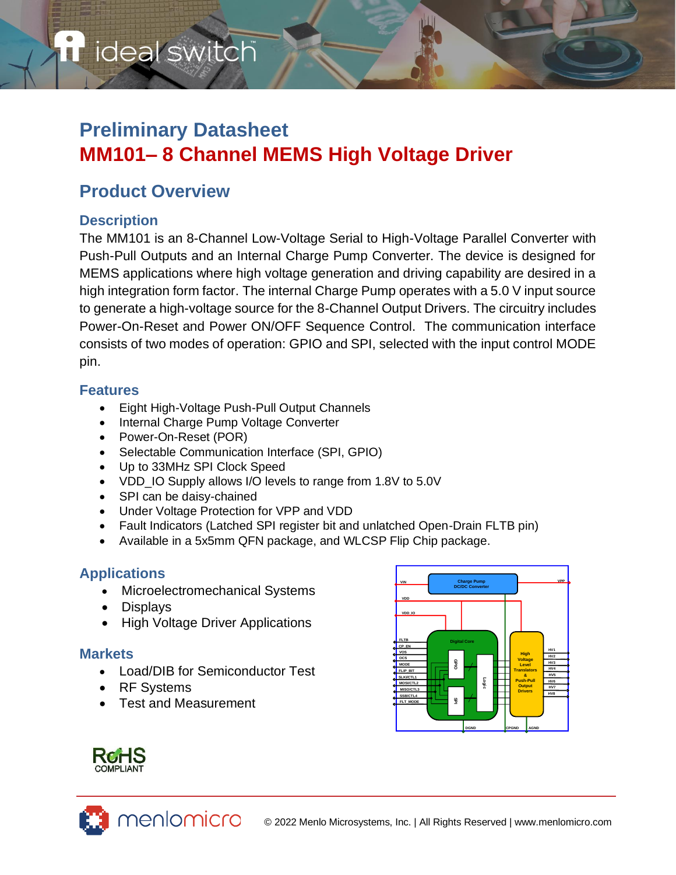# ideal switch

# **Preliminary Datasheet MM101– 8 Channel MEMS High Voltage Driver**

# **Product Overview**

# **Description**

The MM101 is an 8-Channel Low-Voltage Serial to High-Voltage Parallel Converter with Push-Pull Outputs and an Internal Charge Pump Converter. The device is designed for MEMS applications where high voltage generation and driving capability are desired in a high integration form factor. The internal Charge Pump operates with a 5.0 V input source to generate a high-voltage source for the 8-Channel Output Drivers. The circuitry includes Power-On-Reset and Power ON/OFF Sequence Control. The communication interface consists of two modes of operation: GPIO and SPI, selected with the input control MODE pin.

### **Features**

- Eight High-Voltage Push-Pull Output Channels
- Internal Charge Pump Voltage Converter
- Power-On-Reset (POR)
- Selectable Communication Interface (SPI, GPIO)
- Up to 33MHz SPI Clock Speed
- VDD IO Supply allows I/O levels to range from 1.8V to 5.0V
- SPI can be daisy-chained
- Under Voltage Protection for VPP and VDD
- Fault Indicators (Latched SPI register bit and unlatched Open-Drain FLTB pin)
- Available in a 5x5mm QFN package, and WLCSP Flip Chip package.

# **Applications**

- Microelectromechanical Systems
- Displays
- High Voltage Driver Applications

### **Markets**

- Load/DIB for Semiconductor Test
- RF Systems
- Test and Measurement

menlomicro



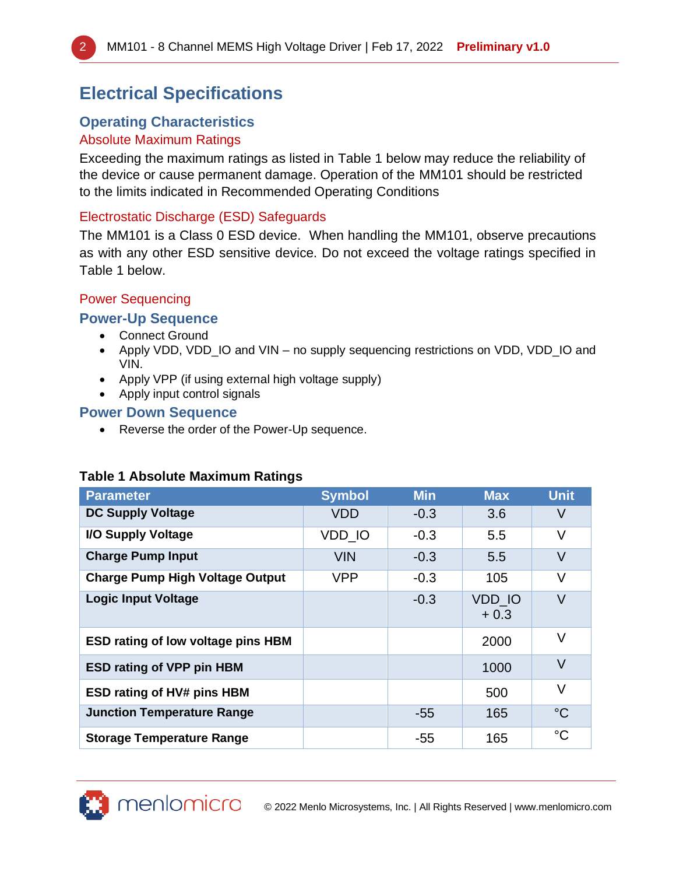# **Electrical Specifications**

# **Operating Characteristics**

### Absolute Maximum Ratings

Exceeding the maximum ratings as listed in [Table 1](#page-1-0) below may reduce the reliability of the device or cause permanent damage. Operation of the MM101 should be restricted to the limits indicated in Recommended Operating Conditions

#### Electrostatic Discharge (ESD) Safeguards

The MM101 is a Class 0 ESD device. When handling the MM101, observe precautions as with any other ESD sensitive device. Do not exceed the voltage ratings specified in Table 1 below.

#### Power Sequencing

### **Power-Up Sequence**

- Connect Ground
- Apply VDD, VDD\_IO and VIN no supply sequencing restrictions on VDD, VDD\_IO and VIN.
- Apply VPP (if using external high voltage supply)
- Apply input control signals

### **Power Down Sequence**

• Reverse the order of the Power-Up sequence.

# **Parameter Symbol Min Max Unit DC Supply Voltage**  $\begin{array}{|c|c|c|c|c|c|c|c|} \hline \text{DCD} & -0.3 & 3.6 & \text{V} \ \hline \end{array}$ **I/O Supply Voltage** VDD\_IO -0.3 5.5 V **Charge Pump Input** VIN -0.3 5.5 V **Charge Pump High Voltage Output | VPP | -0.3 | 105 | V Logic Input Voltage**  $\qquad \qquad$  **CONSUMING THE SET OF A SET OF A SET OF A SET OF A SET OF A SET OF A SET OF A SET OF A SET OF A SET OF A SET OF A SET OF A SET OF A SET OF A SET OF A SET OF A SET OF A SET OF A SET OF A SET O** + 0.3  $\vee$ **ESD rating of low voltage pins HBM ESD rating of VPP pin HBM** 1000 V **ESD rating of HV# pins HBM** 500 V **Junction Temperature Range** -55 165 °C **Storage Temperature Range** 165 165  $\degree$ C

### <span id="page-1-0"></span>**Table 1 Absolute Maximum Ratings**

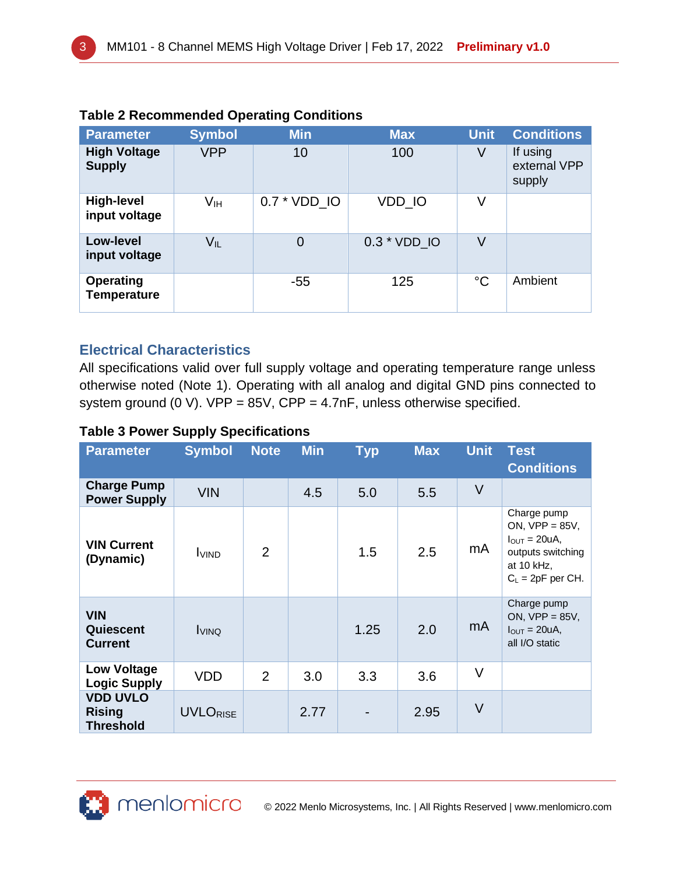| <b>Parameter</b>                       | <b>Symbol</b>              | <b>Min</b>     | <b>Max</b>   | <b>Unit</b>     | <b>Conditions</b>                  |
|----------------------------------------|----------------------------|----------------|--------------|-----------------|------------------------------------|
| <b>High Voltage</b><br><b>Supply</b>   | <b>VPP</b>                 | 10             | 100          | V               | If using<br>external VPP<br>supply |
| <b>High-level</b><br>input voltage     | Vıн                        | 0.7 * VDD IO   | VDD IO       | V               |                                    |
| Low-level<br>input voltage             | $\mathsf{V}_{\mathsf{IL}}$ | $\overline{0}$ | 0.3 * VDD IO | V               |                                    |
| <b>Operating</b><br><b>Temperature</b> |                            | $-55$          | 125          | $\rm ^{\circ}C$ | Ambient                            |

### **Table 2 Recommended Operating Conditions**

### **Electrical Characteristics**

All specifications valid over full supply voltage and operating temperature range unless otherwise noted (Note 1). Operating with all analog and digital GND pins connected to system ground (0 V). VPP =  $85V$ , CPP =  $4.7nF$ , unless otherwise specified.

#### **Table 3 Power Supply Specifications**

| <b>Parameter</b>                                     | <b>Symbol</b>   | <b>Note</b> | <b>Min</b> | <b>Typ</b> | <b>Max</b> | <b>Unit</b> | <b>Test</b><br><b>Conditions</b>                                                                                       |
|------------------------------------------------------|-----------------|-------------|------------|------------|------------|-------------|------------------------------------------------------------------------------------------------------------------------|
| <b>Charge Pump</b><br><b>Power Supply</b>            | <b>VIN</b>      |             | 4.5        | 5.0        | 5.5        | V           |                                                                                                                        |
| <b>VIN Current</b><br>(Dynamic)                      | <b>I</b> VIND   | 2           |            | 1.5        | 2.5        | mA          | Charge pump<br>ON, $VPP = 85V$ ,<br>$I_{\text{OUT}} = 20uA,$<br>outputs switching<br>at 10 kHz,<br>$C_L = 2pF$ per CH. |
| <b>VIN</b><br>Quiescent<br><b>Current</b>            | <b>I</b> VINQ   |             |            | 1.25       | 2.0        | mA          | Charge pump<br>ON, $VPP = 85V$ ,<br>$I_{\text{OUT}} = 20uA,$<br>all I/O static                                         |
| <b>Low Voltage</b><br><b>Logic Supply</b>            | <b>VDD</b>      | 2           | 3.0        | 3.3        | 3.6        | V           |                                                                                                                        |
| <b>VDD UVLO</b><br><b>Rising</b><br><b>Threshold</b> | <b>UVLORISE</b> |             | 2.77       |            | 2.95       | V           |                                                                                                                        |

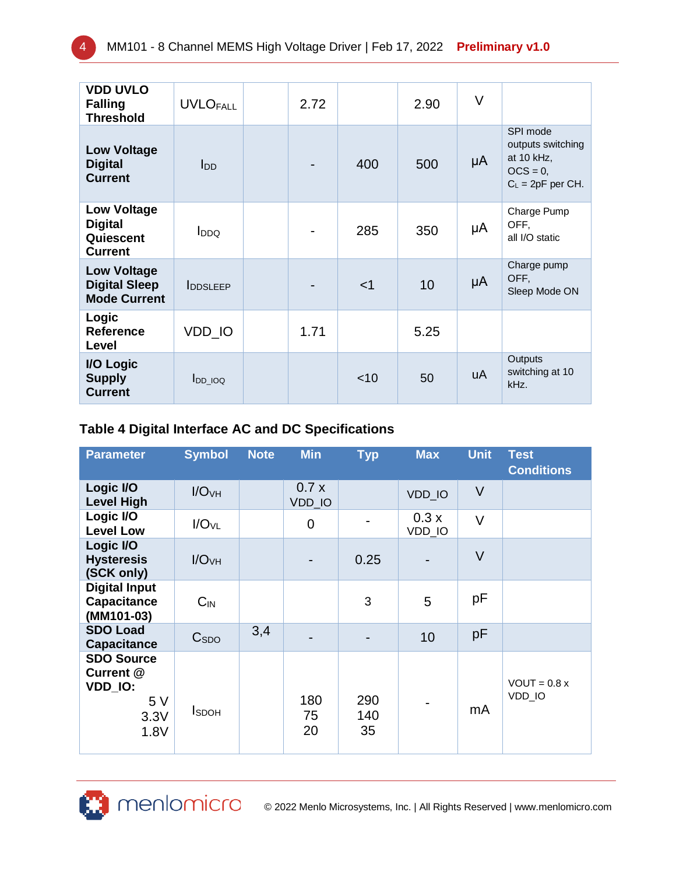| <b>VDD UVLO</b><br><b>Falling</b><br><b>Threshold</b>               | <b>UVLOFALL</b>         | 2.72 |        | 2.90 | V  |                                                                                   |
|---------------------------------------------------------------------|-------------------------|------|--------|------|----|-----------------------------------------------------------------------------------|
| <b>Low Voltage</b><br><b>Digital</b><br><b>Current</b>              | l <sub>DD</sub>         |      | 400    | 500  | μA | SPI mode<br>outputs switching<br>at 10 kHz,<br>$OCS = 0$ ,<br>$C_L = 2pF$ per CH. |
| <b>Low Voltage</b><br><b>Digital</b><br>Quiescent<br><b>Current</b> | <b>I</b> <sub>DDQ</sub> |      | 285    | 350  | μA | Charge Pump<br>OFF,<br>all I/O static                                             |
| <b>Low Voltage</b><br><b>Digital Sleep</b><br><b>Mode Current</b>   | <b>IDDSLEEP</b>         |      | $<$ 1  | 10   | μA | Charge pump<br>OFF,<br>Sleep Mode ON                                              |
| Logic<br><b>Reference</b><br>Level                                  | VDD_IO                  | 1.71 |        | 5.25 |    |                                                                                   |
| I/O Logic<br><b>Supply</b><br><b>Current</b>                        | $I_{DD\_IOQ}$           |      | $<$ 10 | 50   | uA | Outputs<br>switching at 10<br>kHz.                                                |

### **Table 4 Digital Interface AC and DC Specifications**

| <b>Parameter</b>                                                | <b>Symbol</b>     | <b>Note</b> | <b>Min</b>      | <b>Typ</b>       | <b>Max</b>     | <b>Unit</b> | <b>Test</b><br><b>Conditions</b> |
|-----------------------------------------------------------------|-------------------|-------------|-----------------|------------------|----------------|-------------|----------------------------------|
| Logic I/O<br><b>Level High</b>                                  | I/O <sub>VH</sub> |             | 0.7x<br>VDD_IO  |                  | VDD_IO         | $\vee$      |                                  |
| Logic I/O<br><b>Level Low</b>                                   | I/O <sub>VL</sub> |             | 0               |                  | 0.3x<br>VDD_IO | $\vee$      |                                  |
| Logic I/O<br><b>Hysteresis</b><br>(SCK only)                    | I/O <sub>VH</sub> |             |                 | 0.25             |                | $\vee$      |                                  |
| <b>Digital Input</b><br><b>Capacitance</b><br>(MM101-03)        | $C_{IN}$          |             |                 | 3                | 5              | pF          |                                  |
| <b>SDO Load</b><br><b>Capacitance</b>                           | C <sub>SDO</sub>  | 3,4         |                 |                  | 10             | pF          |                                  |
| <b>SDO Source</b><br>Current @<br>VDD_IO:<br>5V<br>3.3V<br>1.8V | <b>I</b> sdoh     |             | 180<br>75<br>20 | 290<br>140<br>35 |                | mA          | $VOUT = 0.8 x$<br>VDD_IO         |

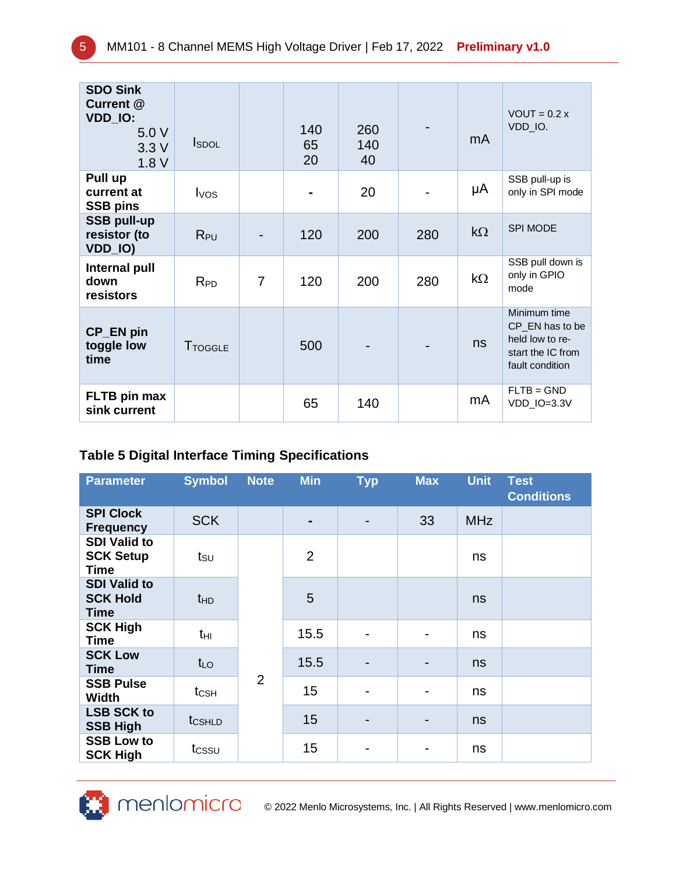| <b>SDO Sink</b><br>Current @<br>VDD_IO:<br>5.0 V<br>3.3V<br>1.8V | <b>I</b> SDOL    |                | 140<br>65<br>20 | 260<br>140<br>40 |     | mA        | $VOUT = 0.2 x$<br>VDD_IO.                                                                  |
|------------------------------------------------------------------|------------------|----------------|-----------------|------------------|-----|-----------|--------------------------------------------------------------------------------------------|
| Pull up<br>current at<br><b>SSB pins</b>                         | I <sub>VOS</sub> |                |                 | 20               |     | μA        | SSB pull-up is<br>only in SPI mode                                                         |
| <b>SSB pull-up</b><br>resistor (to<br>VDD_IO)                    | $R_{PU}$         |                | 120             | 200              | 280 | $k\Omega$ | <b>SPI MODE</b>                                                                            |
| Internal pull<br>down<br>resistors                               | $R_{PD}$         | $\overline{7}$ | 120             | 200              | 280 | $k\Omega$ | SSB pull down is<br>only in GPIO<br>mode                                                   |
| CP_EN pin<br>toggle low<br>time                                  | <b>T</b> TOGGLE  |                | 500             |                  |     | ns        | Minimum time<br>CP_EN has to be<br>held low to re-<br>start the IC from<br>fault condition |
| FLTB pin max<br>sink current                                     |                  |                | 65              | 140              |     | mA        | $FLTB = GND$<br>VDD_IO=3.3V                                                                |

# **Table 5 Digital Interface Timing Specifications**

| <b>Parameter</b>                                | <b>Symbol</b>      | <b>Note</b>    | <b>Min</b>     | <b>Typ</b> | <b>Max</b>     | <b>Unit</b> | <b>Test</b><br><b>Conditions</b> |
|-------------------------------------------------|--------------------|----------------|----------------|------------|----------------|-------------|----------------------------------|
| <b>SPI Clock</b><br><b>Frequency</b>            | <b>SCK</b>         |                |                |            | 33             | <b>MHz</b>  |                                  |
| <b>SDI Valid to</b><br><b>SCK Setup</b><br>Time | tsu                |                | $\overline{2}$ |            |                | ns          |                                  |
| <b>SDI Valid to</b><br><b>SCK Hold</b><br>Time  | t <sub>HD</sub>    |                | 5              |            |                | ns          |                                  |
| <b>SCK High</b><br><b>Time</b>                  | tнı                |                | 15.5           |            | $\blacksquare$ | ns          |                                  |
| <b>SCK Low</b><br>Time                          | $t_{LO}$           |                | 15.5           |            | -              | ns          |                                  |
| <b>SSB Pulse</b><br><b>Width</b>                | $t_{\text{CSH}}$   | $\overline{2}$ | 15             |            | -              | ns          |                                  |
| <b>LSB SCK to</b><br><b>SSB High</b>            | t <sub>CSHLD</sub> |                | 15             |            | $\blacksquare$ | ns          |                                  |
| <b>SSB Low to</b><br><b>SCK High</b>            | tcssu              |                | 15             |            | -              | ns          |                                  |



CO 2022 Menlo Microsystems, Inc. | All Rights Reserved | www.menlomicro.com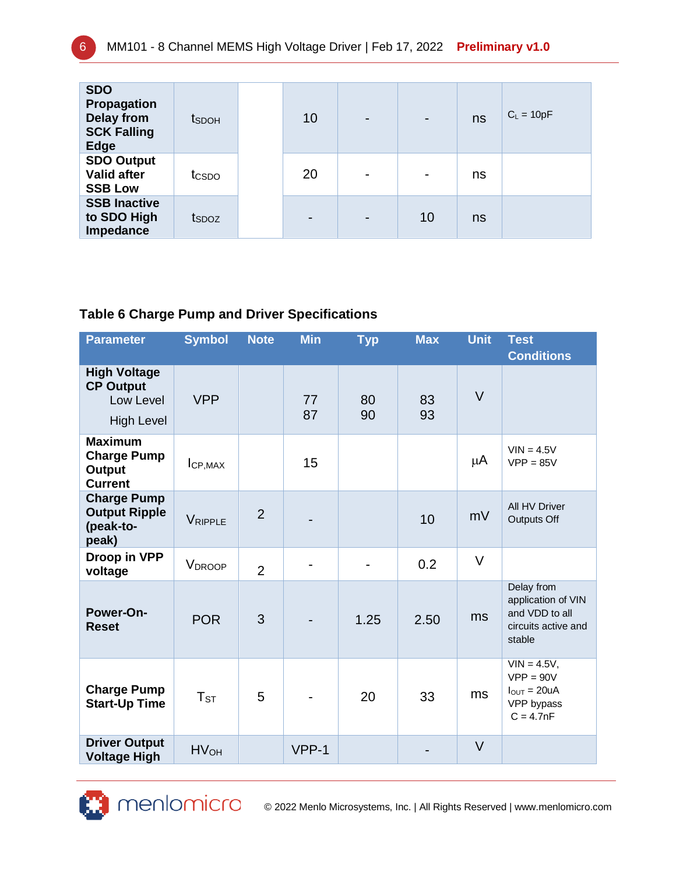| <b>SDO</b><br>Propagation<br><b>Delay from</b><br><b>SCK Falling</b><br><b>Edge</b> | tsdoh             | 10                       | -                        | ns | $C_L = 10pF$ |
|-------------------------------------------------------------------------------------|-------------------|--------------------------|--------------------------|----|--------------|
| <b>SDO Output</b><br><b>Valid after</b><br><b>SSB Low</b>                           | tcspo             | 20                       | $\overline{\phantom{a}}$ | ns |              |
| <b>SSB Inactive</b><br>to SDO High<br>Impedance                                     | t <sub>SDOZ</sub> | $\overline{\phantom{0}}$ | 10                       | ns |              |

# **Table 6 Charge Pump and Driver Specifications**

| <b>Parameter</b>                                                          | <b>Symbol</b>      | <b>Note</b>    | <b>Min</b> | <b>Typ</b> | <b>Max</b> | <b>Unit</b> | <b>Test</b><br><b>Conditions</b>                                                      |
|---------------------------------------------------------------------------|--------------------|----------------|------------|------------|------------|-------------|---------------------------------------------------------------------------------------|
| <b>High Voltage</b><br><b>CP Output</b><br>Low Level<br><b>High Level</b> | <b>VPP</b>         |                | 77<br>87   | 80<br>90   | 83<br>93   | $\vee$      |                                                                                       |
| <b>Maximum</b><br><b>Charge Pump</b><br>Output<br><b>Current</b>          | ICP, MAX           |                | 15         |            |            | μA          | $VIN = 4.5V$<br>$VPP = 85V$                                                           |
| <b>Charge Pump</b><br><b>Output Ripple</b><br>(peak-to-<br>peak)          | VRIPPLE            | $\overline{2}$ |            |            | 10         | mV          | All HV Driver<br>Outputs Off                                                          |
| Droop in VPP<br>voltage                                                   | V <sub>DROOP</sub> | $\overline{2}$ |            |            | 0.2        | $\vee$      |                                                                                       |
| Power-On-<br><b>Reset</b>                                                 | <b>POR</b>         | 3              |            | 1.25       | 2.50       | ms          | Delay from<br>application of VIN<br>and VDD to all<br>circuits active and<br>stable   |
| <b>Charge Pump</b><br><b>Start-Up Time</b>                                | $T_{ST}$           | 5              |            | 20         | 33         | ms          | $VIN = 4.5V$ ,<br>$VPP = 90V$<br>$I_{\text{OUT}} = 20uA$<br>VPP bypass<br>$C = 4.7nF$ |
| <b>Driver Output</b><br><b>Voltage High</b>                               | HV <sub>OH</sub>   |                | $VPP-1$    |            |            | $\vee$      |                                                                                       |



CO 2022 Menlo Microsystems, Inc. | All Rights Reserved | www.menlomicro.com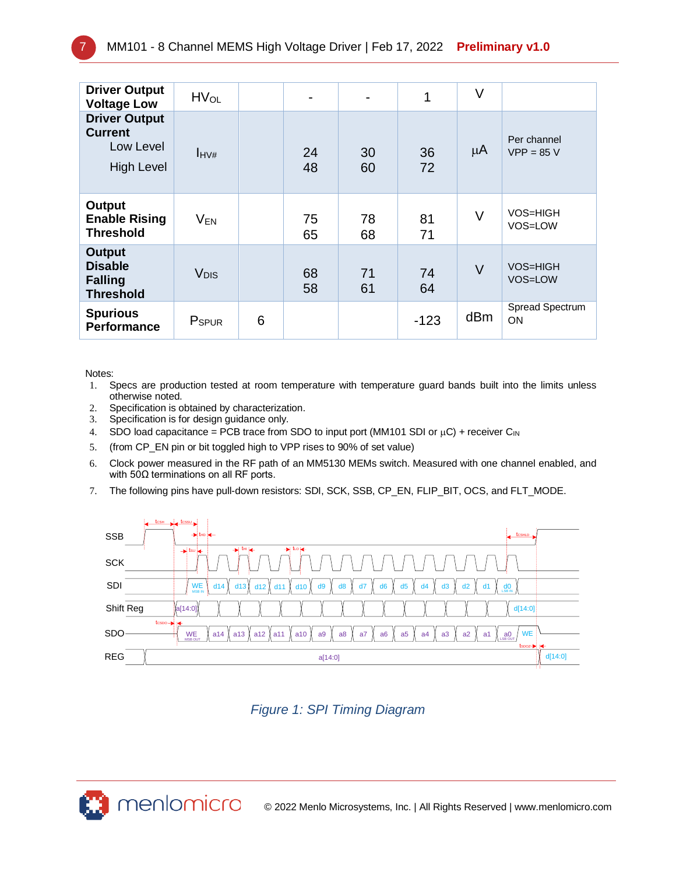| <b>Driver Output</b><br><b>Voltage Low</b>                               | <b>HV<sub>OL</sub></b> |   |          |          | 1        | $\vee$ |                             |
|--------------------------------------------------------------------------|------------------------|---|----------|----------|----------|--------|-----------------------------|
| <b>Driver Output</b><br><b>Current</b><br>Low Level<br><b>High Level</b> | $I_{\text{HV}\#}$      |   | 24<br>48 | 30<br>60 | 36<br>72 | μ $A$  | Per channel<br>$VPP = 85 V$ |
| Output<br><b>Enable Rising</b><br><b>Threshold</b>                       | $V_{EN}$               |   | 75<br>65 | 78<br>68 | 81<br>71 | V      | VOS=HIGH<br>VOS=LOW         |
| <b>Output</b><br><b>Disable</b><br><b>Falling</b><br><b>Threshold</b>    | <b>V<sub>DIS</sub></b> |   | 68<br>58 | 71<br>61 | 74<br>64 | $\vee$ | <b>VOS=HIGH</b><br>VOS=LOW  |
| <b>Spurious</b><br><b>Performance</b>                                    | P <sub>SPUR</sub>      | 6 |          |          | $-123$   | dBm    | Spread Spectrum<br>ON       |

Notes:

- 1. Specs are production tested at room temperature with temperature guard bands built into the limits unless otherwise noted.
- 2. Specification is obtained by characterization.
- 3. Specification is for design guidance only.
- 4. SDO load capacitance = PCB trace from SDO to input port (MM101 SDI or  $\mu$ C) + receiver C<sub>IN</sub>
- 5. (from CP\_EN pin or bit toggled high to VPP rises to 90% of set value)
- 6. Clock power measured in the RF path of an MM5130 MEMs switch. Measured with one channel enabled, and with 50Ω terminations on all RF ports.
- 7. The following pins have pull-down resistors: SDI, SCK, SSB, CP\_EN, FLIP\_BIT, OCS, and FLT\_MODE.



*Figure 1: SPI Timing Diagram*

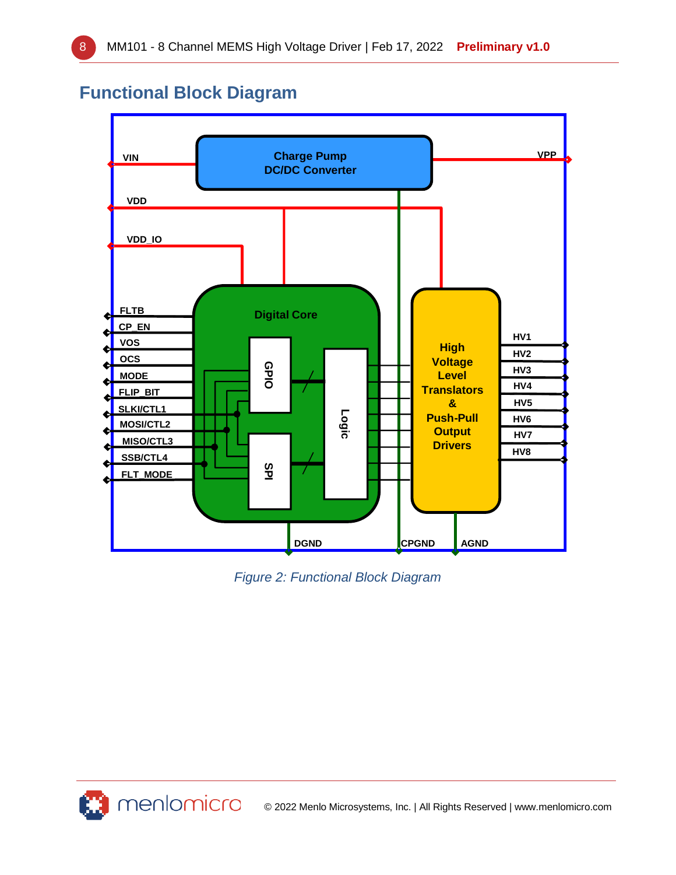# **Functional Block Diagram**



*Figure 2: Functional Block Diagram*

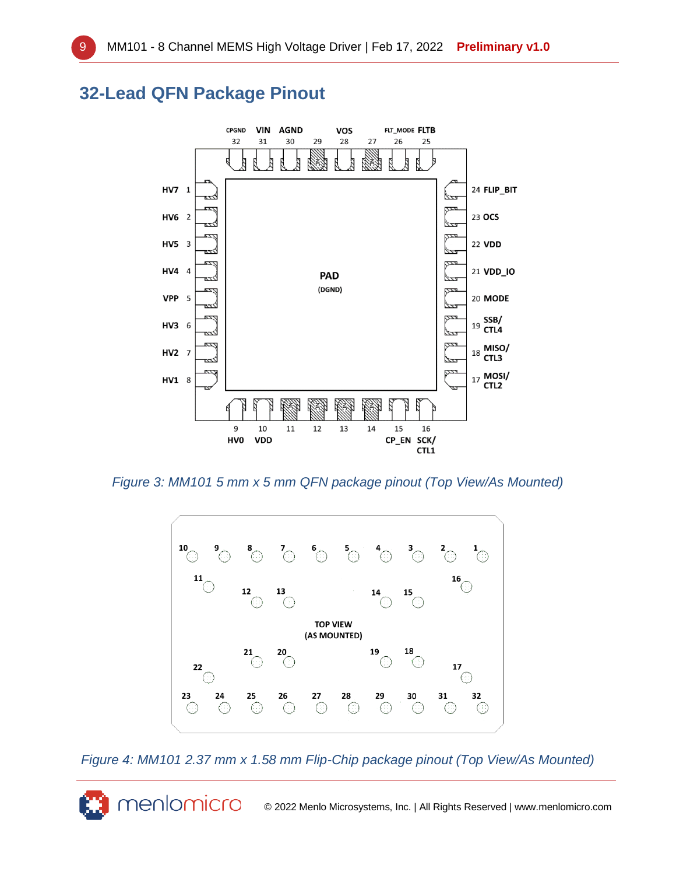# **32-Lead QFN Package Pinout**

menlomicro



*Figure 3: MM101 5 mm x 5 mm QFN package pinout (Top View/As Mounted)*



*Figure 4: MM101 2.37 mm x 1.58 mm Flip-Chip package pinout (Top View/As Mounted)*

© 2022 Menlo Microsystems, Inc. | All Rights Reserved | www.menlomicro.com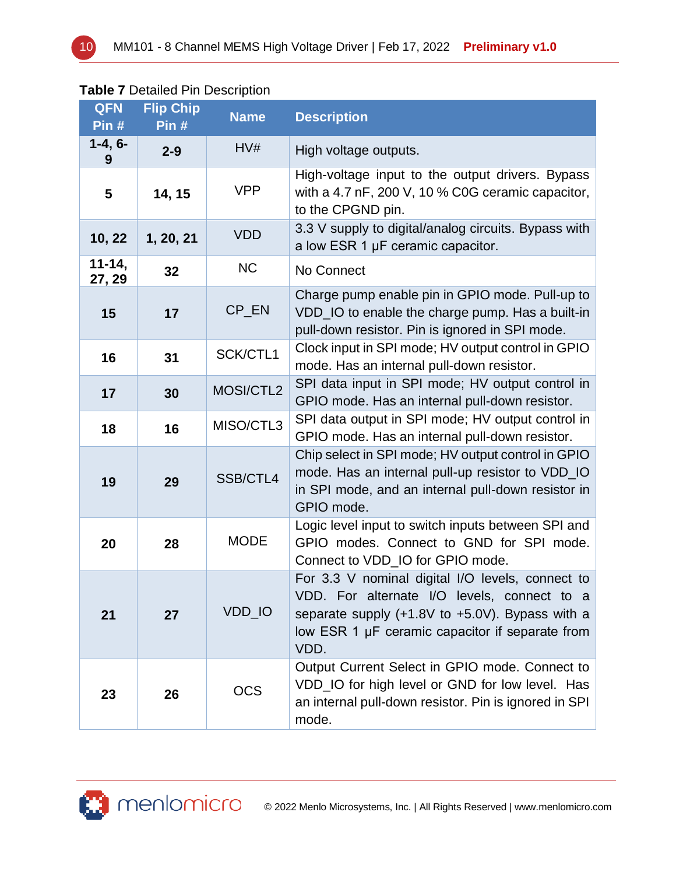#### **Table 7** Detailed Pin Description

| <b>QFN</b><br>Pin#   | <b>Flip Chip</b><br>Pin# | <b>Name</b> | <b>Description</b>                                                                                                                                                                                                 |
|----------------------|--------------------------|-------------|--------------------------------------------------------------------------------------------------------------------------------------------------------------------------------------------------------------------|
| $1-4, 6-$<br>9       | $2 - 9$                  | HV#         | High voltage outputs.                                                                                                                                                                                              |
| 5                    | 14, 15                   | <b>VPP</b>  | High-voltage input to the output drivers. Bypass<br>with a 4.7 nF, 200 V, 10 % C0G ceramic capacitor,<br>to the CPGND pin.                                                                                         |
| 10, 22               | 1, 20, 21                | <b>VDD</b>  | 3.3 V supply to digital/analog circuits. Bypass with<br>a low ESR 1 µF ceramic capacitor.                                                                                                                          |
| $11 - 14,$<br>27, 29 | 32                       | <b>NC</b>   | No Connect                                                                                                                                                                                                         |
| 15                   | 17                       | CP_EN       | Charge pump enable pin in GPIO mode. Pull-up to<br>VDD_IO to enable the charge pump. Has a built-in<br>pull-down resistor. Pin is ignored in SPI mode.                                                             |
| 16                   | 31                       | SCK/CTL1    | Clock input in SPI mode; HV output control in GPIO<br>mode. Has an internal pull-down resistor.                                                                                                                    |
| 17                   | 30                       | MOSI/CTL2   | SPI data input in SPI mode; HV output control in<br>GPIO mode. Has an internal pull-down resistor.                                                                                                                 |
| 18                   | 16                       | MISO/CTL3   | SPI data output in SPI mode; HV output control in<br>GPIO mode. Has an internal pull-down resistor.                                                                                                                |
| 19                   | 29                       | SSB/CTL4    | Chip select in SPI mode; HV output control in GPIO<br>mode. Has an internal pull-up resistor to VDD_IO<br>in SPI mode, and an internal pull-down resistor in<br>GPIO mode.                                         |
| 20                   | 28                       | <b>MODE</b> | Logic level input to switch inputs between SPI and<br>GPIO modes. Connect to GND for SPI mode.<br>Connect to VDD_IO for GPIO mode.                                                                                 |
| 21                   | 27                       | VDD_IO      | For 3.3 V nominal digital I/O levels, connect to<br>VDD. For alternate I/O levels, connect to a<br>separate supply $(+1.8V$ to $+5.0V$ ). Bypass with a<br>low ESR 1 µF ceramic capacitor if separate from<br>VDD. |
| 23                   | 26                       | <b>OCS</b>  | Output Current Select in GPIO mode. Connect to<br>VDD_IO for high level or GND for low level. Has<br>an internal pull-down resistor. Pin is ignored in SPI<br>mode.                                                |

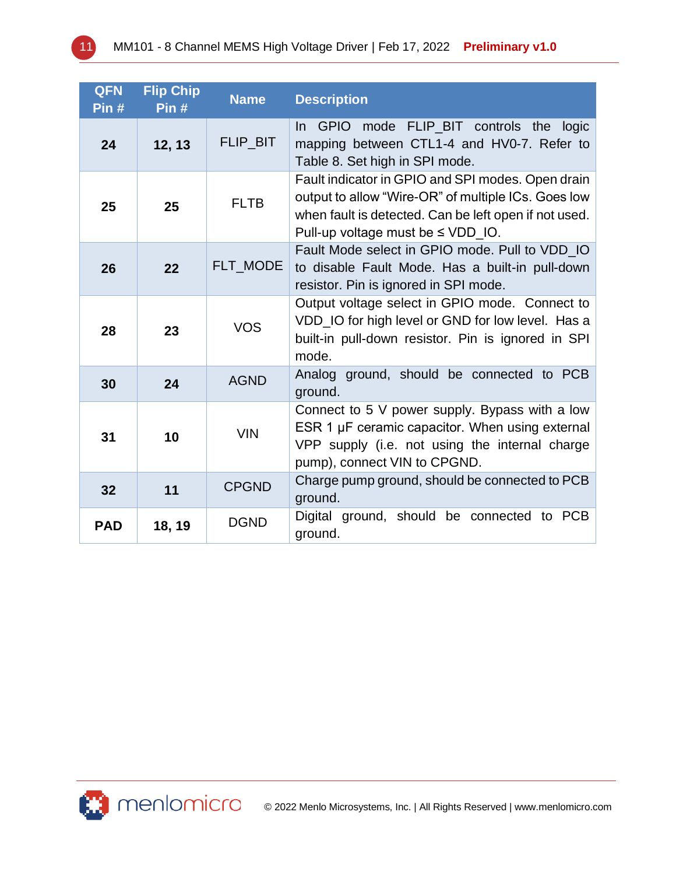| <b>QFN</b><br>Pin# | <b>Flip Chip</b><br>Pin# | <b>Name</b>     | <b>Description</b>                                                                                                                                                                                          |
|--------------------|--------------------------|-----------------|-------------------------------------------------------------------------------------------------------------------------------------------------------------------------------------------------------------|
| 24                 | 12, 13                   | <b>FLIP BIT</b> | In GPIO mode FLIP_BIT controls the<br>logic<br>mapping between CTL1-4 and HV0-7. Refer to<br>Table 8. Set high in SPI mode.                                                                                 |
| 25                 | 25                       | <b>FLTB</b>     | Fault indicator in GPIO and SPI modes. Open drain<br>output to allow "Wire-OR" of multiple ICs. Goes low<br>when fault is detected. Can be left open if not used.<br>Pull-up voltage must be $\leq$ VDD IO. |
| 26                 | 22                       | FLT MODE        | Fault Mode select in GPIO mode. Pull to VDD IO<br>to disable Fault Mode. Has a built-in pull-down<br>resistor. Pin is ignored in SPI mode.                                                                  |
| 28                 | 23                       | <b>VOS</b>      | Output voltage select in GPIO mode. Connect to<br>VDD_IO for high level or GND for low level. Has a<br>built-in pull-down resistor. Pin is ignored in SPI<br>mode.                                          |
| 30                 | 24                       | <b>AGND</b>     | Analog ground, should be connected to PCB<br>ground.                                                                                                                                                        |
| 31                 | 10                       | <b>VIN</b>      | Connect to 5 V power supply. Bypass with a low<br>ESR 1 µF ceramic capacitor. When using external<br>VPP supply (i.e. not using the internal charge<br>pump), connect VIN to CPGND.                         |
| 32                 | 11                       | <b>CPGND</b>    | Charge pump ground, should be connected to PCB<br>ground.                                                                                                                                                   |
| <b>PAD</b>         | 18, 19                   | <b>DGND</b>     | Digital ground, should be connected<br>to PCB<br>ground.                                                                                                                                                    |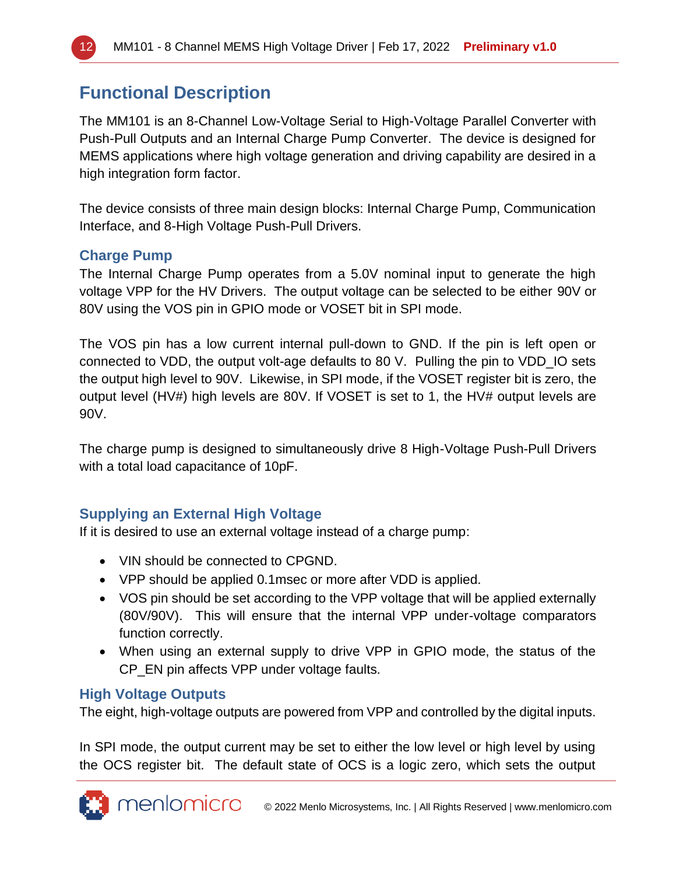# **Functional Description**

The MM101 is an 8-Channel Low-Voltage Serial to High-Voltage Parallel Converter with Push-Pull Outputs and an Internal Charge Pump Converter. The device is designed for MEMS applications where high voltage generation and driving capability are desired in a high integration form factor.

The device consists of three main design blocks: Internal Charge Pump, Communication Interface, and 8-High Voltage Push-Pull Drivers.

# **Charge Pump**

The Internal Charge Pump operates from a 5.0V nominal input to generate the high voltage VPP for the HV Drivers. The output voltage can be selected to be either 90V or 80V using the VOS pin in GPIO mode or VOSET bit in SPI mode.

The VOS pin has a low current internal pull-down to GND. If the pin is left open or connected to VDD, the output volt-age defaults to 80 V. Pulling the pin to VDD\_IO sets the output high level to 90V. Likewise, in SPI mode, if the VOSET register bit is zero, the output level (HV#) high levels are 80V. If VOSET is set to 1, the HV# output levels are 90V.

The charge pump is designed to simultaneously drive 8 High-Voltage Push-Pull Drivers with a total load capacitance of 10pF.

# **Supplying an External High Voltage**

If it is desired to use an external voltage instead of a charge pump:

- VIN should be connected to CPGND.
- VPP should be applied 0.1msec or more after VDD is applied.
- VOS pin should be set according to the VPP voltage that will be applied externally (80V/90V). This will ensure that the internal VPP under-voltage comparators function correctly.
- When using an external supply to drive VPP in GPIO mode, the status of the CP\_EN pin affects VPP under voltage faults.

# **High Voltage Outputs**

The eight, high-voltage outputs are powered from VPP and controlled by the digital inputs.

In SPI mode, the output current may be set to either the low level or high level by using the OCS register bit. The default state of OCS is a logic zero, which sets the output

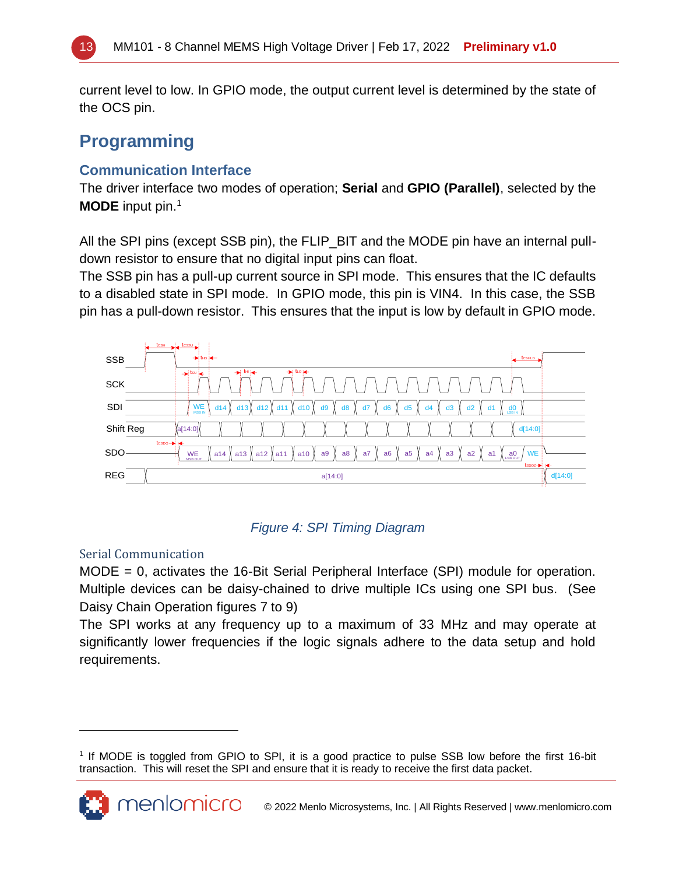

current level to low. In GPIO mode, the output current level is determined by the state of the OCS pin.

# **Programming**

### **Communication Interface**

The driver interface two modes of operation; **Serial** and **GPIO (Parallel)**, selected by the **MODE** input pin.<sup>1</sup>

All the SPI pins (except SSB pin), the FLIP\_BIT and the MODE pin have an internal pulldown resistor to ensure that no digital input pins can float.

The SSB pin has a pull-up current source in SPI mode. This ensures that the IC defaults to a disabled state in SPI mode. In GPIO mode, this pin is VIN4. In this case, the SSB pin has a pull-down resistor. This ensures that the input is low by default in GPIO mode.



#### *Figure 4: SPI Timing Diagram*

#### Serial Communication

menlomicro

MODE = 0, activates the 16-Bit Serial Peripheral Interface (SPI) module for operation. Multiple devices can be daisy-chained to drive multiple ICs using one SPI bus. (See Daisy Chain Operation figures 7 to 9)

The SPI works at any frequency up to a maximum of 33 MHz and may operate at significantly lower frequencies if the logic signals adhere to the data setup and hold requirements.

<sup>1</sup> If MODE is toggled from GPIO to SPI, it is a good practice to pulse SSB low before the first 16-bit transaction. This will reset the SPI and ensure that it is ready to receive the first data packet.

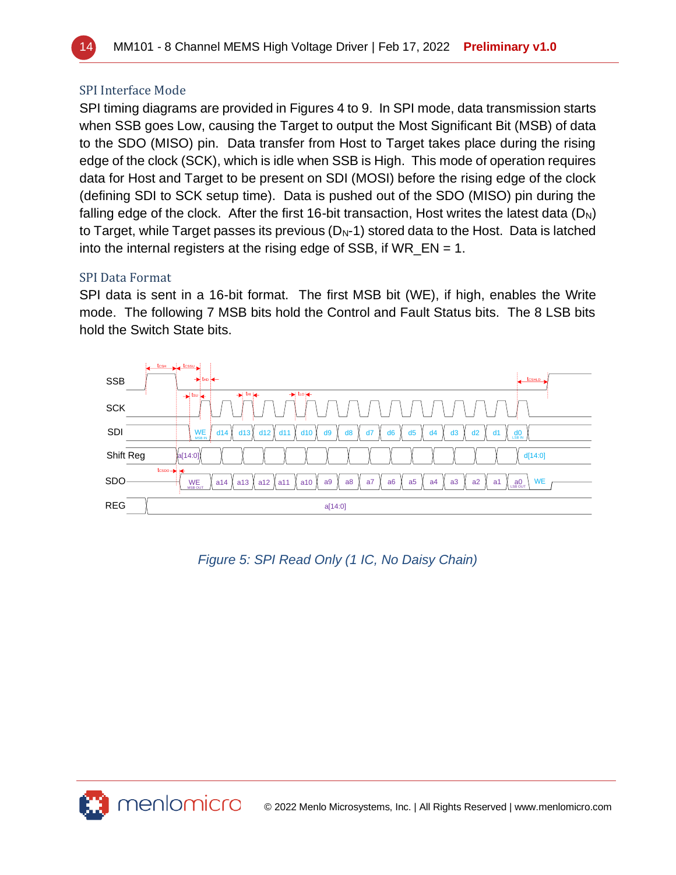

#### SPI Interface Mode

SPI timing diagrams are provided in Figures 4 to 9. In SPI mode, data transmission starts when SSB goes Low, causing the Target to output the Most Significant Bit (MSB) of data to the SDO (MISO) pin. Data transfer from Host to Target takes place during the rising edge of the clock (SCK), which is idle when SSB is High. This mode of operation requires data for Host and Target to be present on SDI (MOSI) before the rising edge of the clock (defining SDI to SCK setup time). Data is pushed out of the SDO (MISO) pin during the falling edge of the clock. After the first 16-bit transaction, Host writes the latest data  $(D_N)$ to Target, while Target passes its previous  $(D_N-1)$  stored data to the Host. Data is latched into the internal registers at the rising edge of SSB, if  $WR$  EN = 1.

#### SPI Data Format

SPI data is sent in a 16-bit format. The first MSB bit (WE), if high, enables the Write mode. The following 7 MSB bits hold the Control and Fault Status bits. The 8 LSB bits hold the Switch State bits.



### *Figure 5: SPI Read Only (1 IC, No Daisy Chain)*

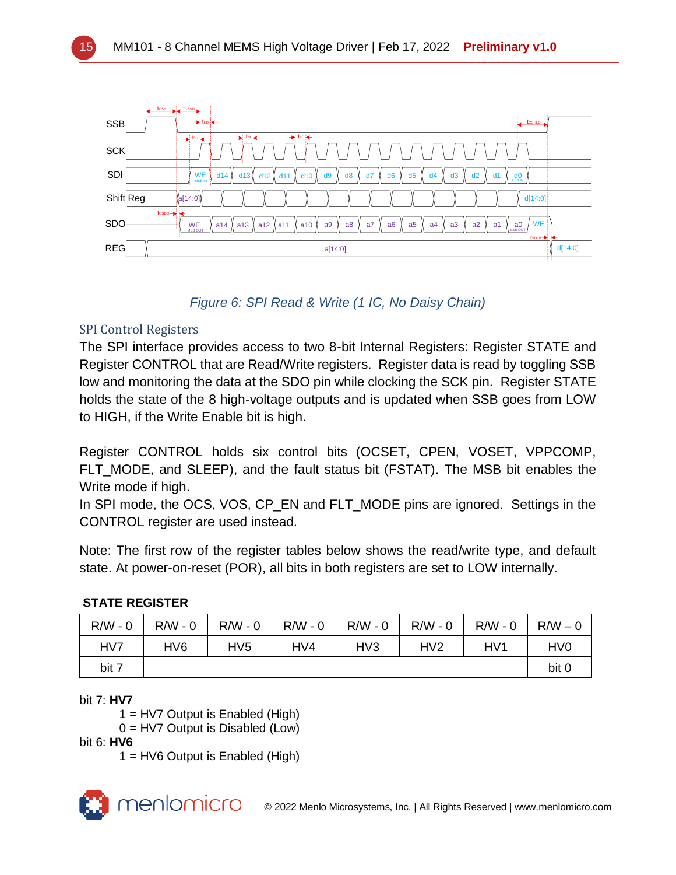

### *Figure 6: SPI Read & Write (1 IC, No Daisy Chain)*

#### SPI Control Registers

The SPI interface provides access to two 8-bit Internal Registers: Register STATE and Register CONTROL that are Read/Write registers. Register data is read by toggling SSB low and monitoring the data at the SDO pin while clocking the SCK pin. Register STATE holds the state of the 8 high-voltage outputs and is updated when SSB goes from LOW to HIGH, if the Write Enable bit is high.

Register CONTROL holds six control bits (OCSET, CPEN, VOSET, VPPCOMP, FLT MODE, and SLEEP), and the fault status bit (FSTAT). The MSB bit enables the Write mode if high.

In SPI mode, the OCS, VOS, CP\_EN and FLT\_MODE pins are ignored. Settings in the CONTROL register are used instead.

Note: The first row of the register tables below shows the read/write type, and default state. At power-on-reset (POR), all bits in both registers are set to LOW internally.

#### **STATE REGISTER**

| $R/W - 0$ | $R/W - 0$       | $R/W - 0$ | $R/W - 0$ | R/W - 0         | $R/W - 0$ | $R/W - 0$ | $R/W - 0$                   |
|-----------|-----------------|-----------|-----------|-----------------|-----------|-----------|-----------------------------|
| HV7       | HV <sub>6</sub> | HV5       | HV4       | HV <sub>3</sub> | HV2       | HV1       | H <sub>V</sub> <sub>0</sub> |
| bit 7     |                 |           |           |                 |           |           | bit 0                       |

bit 7: **HV7**

1 = HV7 Output is Enabled (High)

0 = HV7 Output is Disabled (Low)

bit 6: **HV6**

1 = HV6 Output is Enabled (High)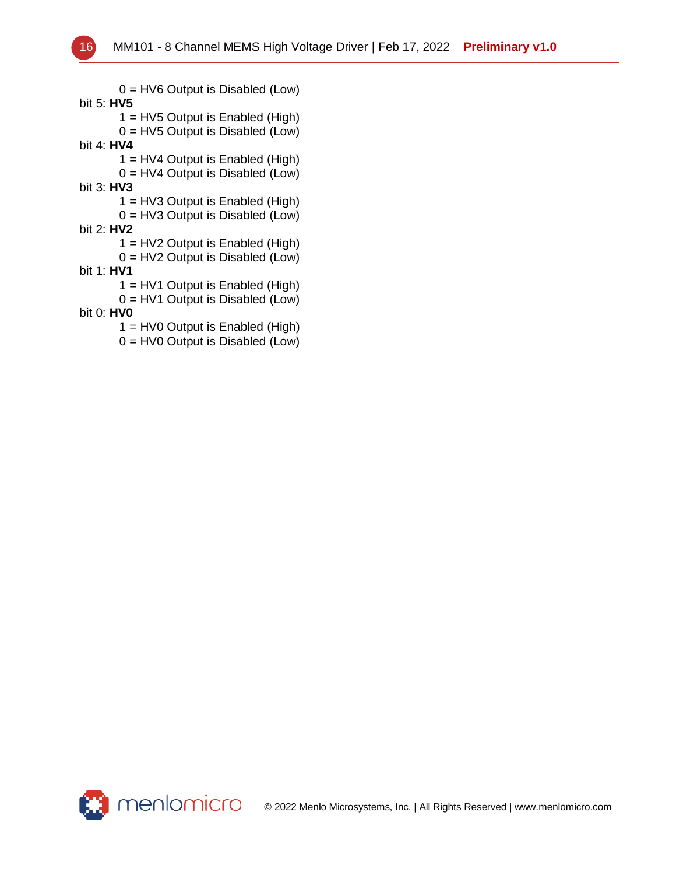0 = HV6 Output is Disabled (Low) bit 5: **HV5** 1 = HV5 Output is Enabled (High) 0 = HV5 Output is Disabled (Low) bit 4: **HV4** 1 = HV4 Output is Enabled (High) 0 = HV4 Output is Disabled (Low) bit 3: **HV3** 1 = HV3 Output is Enabled (High) 0 = HV3 Output is Disabled (Low) bit 2: **HV2** 1 = HV2 Output is Enabled (High) 0 = HV2 Output is Disabled (Low) bit 1: **HV1** 1 = HV1 Output is Enabled (High) 0 = HV1 Output is Disabled (Low) bit 0: **HV0** 1 = HV0 Output is Enabled (High) 0 = HV0 Output is Disabled (Low)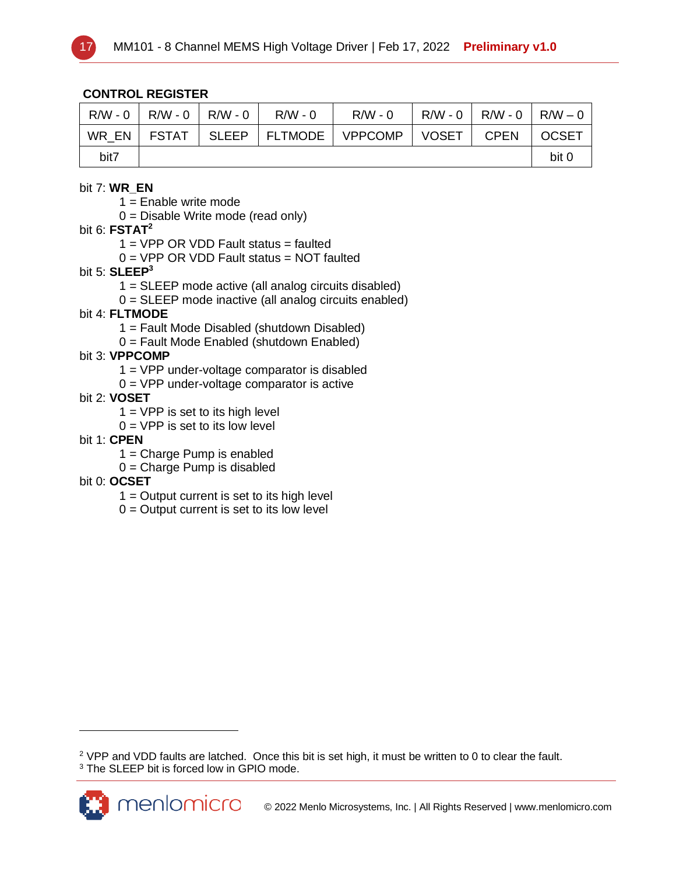

#### **CONTROL REGISTER**

| R/W - 0 | $R/W - 0$    | R/W - 0      | $R/W - 0$ | $R/W - 0$         | $R/W - 0$    | $R/W - 0$   | $R/W - 0$    |
|---------|--------------|--------------|-----------|-------------------|--------------|-------------|--------------|
| WR EN   | <b>FSTAT</b> | <b>SLEEP</b> |           | FLTMODE   VPPCOMP | <b>VOSET</b> | <b>CPEN</b> | <b>OCSET</b> |
| bit7    |              |              |           |                   |              |             | bit 0        |

#### bit 7: **WR\_EN**

1 = Enable write mode

 $0 =$  Disable Write mode (read only)

#### bit 6: **FSTAT<sup>2</sup>**

 $1 = VPP$  OR VDD Fault status = faulted

 $0 = VPP$  OR VDD Fault status = NOT faulted

#### bit 5: **SLEEP<sup>3</sup>**

1 = SLEEP mode active (all analog circuits disabled)

 $0 = SLEEP$  mode inactive (all analog circuits enabled)

#### bit 4: **FLTMODE**

- 1 = Fault Mode Disabled (shutdown Disabled)
- 0 = Fault Mode Enabled (shutdown Enabled)

#### bit 3: **VPPCOMP**

- 1 = VPP under-voltage comparator is disabled
- $0 = VPP$  under-voltage comparator is active

#### bit 2: **VOSET**

 $1 = VPP$  is set to its high level

 $0 = VPP$  is set to its low level

#### bit 1: **CPEN**

 $1 =$ Charge Pump is enabled

0 = Charge Pump is disabled

#### bit 0: **OCSET**

- $1 =$  Output current is set to its high level
- $0 =$  Output current is set to its low level

<sup>&</sup>lt;sup>2</sup> VPP and VDD faults are latched. Once this bit is set high, it must be written to 0 to clear the fault. <sup>3</sup> The SLEEP bit is forced low in GPIO mode.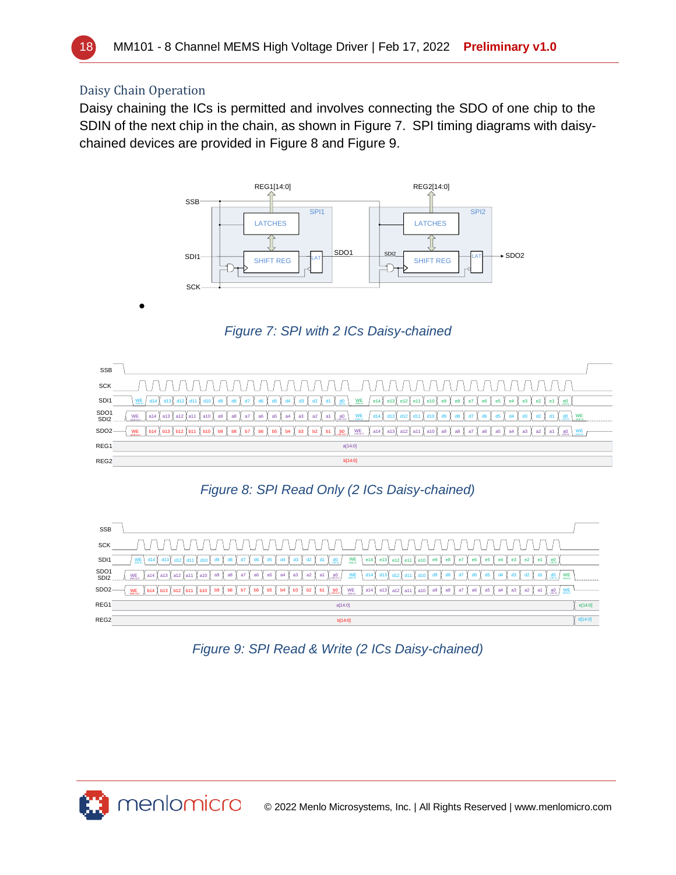

#### Daisy Chain Operation

•

Daisy chaining the ICs is permitted and involves connecting the SDO of one chip to the SDIN of the next chip in the chain, as shown in [Figure 7.](#page-17-0) SPI timing diagrams with daisychained devices are provided in [Figure 8](#page-17-1) and [Figure 9.](#page-17-2)



*Figure 7: SPI with 2 ICs Daisy-chained*

<span id="page-17-0"></span>



<span id="page-17-1"></span>

| <b>SSB</b>               |                                                                                                                                                                                                                                                                                        |         |
|--------------------------|----------------------------------------------------------------------------------------------------------------------------------------------------------------------------------------------------------------------------------------------------------------------------------------|---------|
| <b>SCK</b>               | ' \ / \ / \ / \ / \ / \ / \ / \ / \ / \<br>$\cdots$<br>//////                                                                                                                                                                                                                          |         |
| SDI <sub>1</sub>         | $\frac{1}{\log n}$ e14 e13 e12 e11 e10 e9<br>$d1 \frac{d0}{20N}$<br>d5<br>$M_{\rm max}$<br>d6<br>d4<br>d3<br>d2 $\sqrt{ }$<br>d14<br>e8<br>e7<br>d10 <sup>1</sup><br>d9<br>e5<br>e2 <sub>1</sub><br>e4<br>e3                                                                           |         |
| SDO <sub>1</sub><br>SDI2 | $M =$<br>WE<br>$WE_{max}$<br>$a1$ $a0$<br>$d14$ $d13$<br>a5<br>a4<br>a7<br>a2 1<br>$ $ a14 $ $ a13<br>a6<br>a3<br>a8<br>i I a12 I a11<br>a9<br>d12<br>d11<br>1a10                                                                                                                      |         |
| SDO <sub>2</sub>         | $WE$ <sub>Msn av</sub><br>$a1$ $a0$ $Wmax$<br><b>WE</b><br>-ь7 I<br>b6<br>bo<br>b8<br>b5<br>b2<br>$a14$ a13 $a12$ a11<br> a10 <br>a <sub>9</sub><br>b14 b13 b12 b11 b10<br>b9<br>b4<br><b>b3</b><br>b1 :<br>a7<br>a8<br>a <sub>6</sub><br>a <sub>5</sub><br>a2<br>a <sub>4</sub><br>a3 |         |
| REG1                     | a[14:0]                                                                                                                                                                                                                                                                                | e[14:0] |
| REG <sub>2</sub>         | b[14:0]                                                                                                                                                                                                                                                                                | d[14:0] |

<span id="page-17-2"></span>*Figure 9: SPI Read & Write (2 ICs Daisy-chained)*

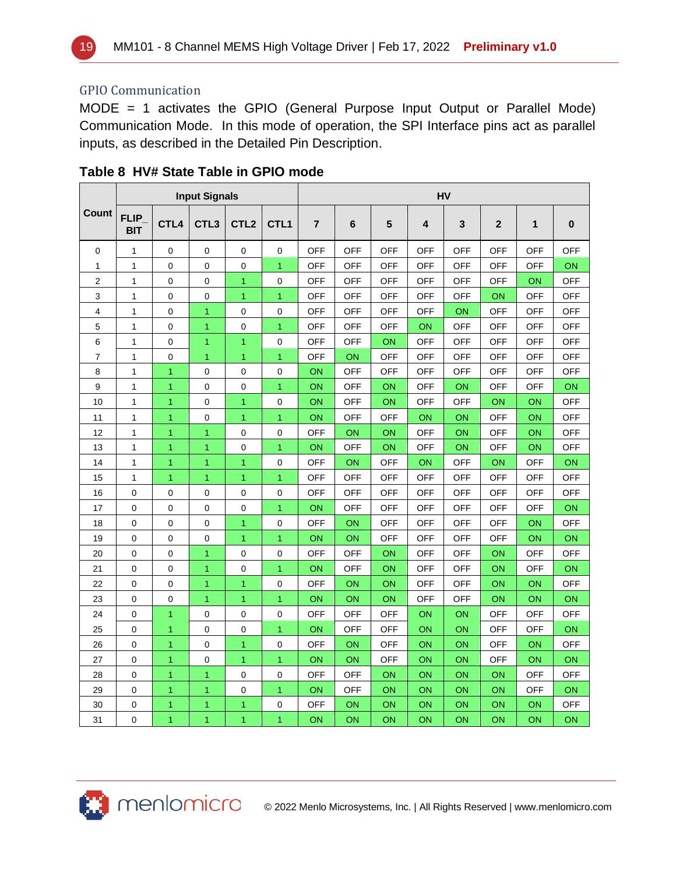

#### GPIO Communication

MODE = 1 activates the GPIO (General Purpose Input Output or Parallel Mode) Communication Mode. In this mode of operation, the SPI Interface pins act as parallel inputs, as described in the Detailed Pin Description.

|                |                           |                  | <b>Input Signals</b> |                  |                  | HV             |            |            |            |            |             |            |            |  |  |
|----------------|---------------------------|------------------|----------------------|------------------|------------------|----------------|------------|------------|------------|------------|-------------|------------|------------|--|--|
| Count          | <b>FLIP</b><br><b>BIT</b> | CTL <sub>4</sub> | CTL <sub>3</sub>     | CTL <sub>2</sub> | CTL <sub>1</sub> | $\overline{7}$ | 6          | 5          | 4          | 3          | $\mathbf 2$ | 1          | $\pmb{0}$  |  |  |
| 0              | $\mathbf{1}$              | 0                | $\mathbf 0$          | 0                | $\mathbf 0$      | <b>OFF</b>     | <b>OFF</b> | <b>OFF</b> | <b>OFF</b> | <b>OFF</b> | <b>OFF</b>  | <b>OFF</b> | <b>OFF</b> |  |  |
| $\mathbf{1}$   | $\mathbf{1}$              | 0                | 0                    | $\mathbf 0$      | $\overline{1}$   | OFF            | <b>OFF</b> | OFF        | OFF        | <b>OFF</b> | OFF         | OFF        | ON         |  |  |
| $\overline{2}$ | $\mathbf{1}$              | $\mathbf 0$      | 0                    | $\mathbf{1}$     | 0                | <b>OFF</b>     | <b>OFF</b> | <b>OFF</b> | <b>OFF</b> | <b>OFF</b> | <b>OFF</b>  | ON         | <b>OFF</b> |  |  |
| 3              | $\mathbf{1}$              | $\mathbf 0$      | $\mathbf 0$          | $\mathbf{1}$     | $\overline{1}$   | <b>OFF</b>     | <b>OFF</b> | <b>OFF</b> | <b>OFF</b> | <b>OFF</b> | ON          | <b>OFF</b> | <b>OFF</b> |  |  |
| 4              | $\mathbf{1}$              | $\mathbf 0$      | 1                    | 0                | $\mathbf 0$      | <b>OFF</b>     | <b>OFF</b> | <b>OFF</b> | <b>OFF</b> | ON         | <b>OFF</b>  | <b>OFF</b> | <b>OFF</b> |  |  |
| 5              | 1                         | 0                | 1                    | 0                | $\mathbf{1}$     | <b>OFF</b>     | <b>OFF</b> | <b>OFF</b> | ON         | <b>OFF</b> | <b>OFF</b>  | <b>OFF</b> | <b>OFF</b> |  |  |
| 6              | 1                         | 0                | 1                    | 1                | 0                | <b>OFF</b>     | <b>OFF</b> | ON         | <b>OFF</b> | <b>OFF</b> | <b>OFF</b>  | <b>OFF</b> | <b>OFF</b> |  |  |
| 7              | 1                         | 0                | 1                    | $\overline{1}$   | 1                | <b>OFF</b>     | ON         | <b>OFF</b> | <b>OFF</b> | <b>OFF</b> | <b>OFF</b>  | <b>OFF</b> | <b>OFF</b> |  |  |
| 8              | 1                         | $\mathbf{1}$     | 0                    | 0                | 0                | ON             | <b>OFF</b> | <b>OFF</b> | <b>OFF</b> | <b>OFF</b> | <b>OFF</b>  | <b>OFF</b> | <b>OFF</b> |  |  |
| 9              | 1                         | $\overline{1}$   | $\mathbf 0$          | 0                | $\mathbf{1}$     | ON             | <b>OFF</b> | ON         | <b>OFF</b> | ON         | <b>OFF</b>  | <b>OFF</b> | ON         |  |  |
| 10             | 1                         | $\overline{1}$   | $\mathbf 0$          | $\mathbf{1}$     | $\mathbf 0$      | ON             | <b>OFF</b> | ON         | <b>OFF</b> | <b>OFF</b> | ON          | ON         | <b>OFF</b> |  |  |
| 11             | 1                         | $\mathbf{1}$     | 0                    | $\mathbf{1}$     | $\mathbf{1}$     | ON             | <b>OFF</b> | <b>OFF</b> | ON         | ON         | <b>OFF</b>  | ON         | <b>OFF</b> |  |  |
| 12             | $\mathbf{1}$              | $\overline{1}$   | 1                    | 0                | $\mathbf 0$      | <b>OFF</b>     | ON         | ON         | <b>OFF</b> | ON         | <b>OFF</b>  | ON         | <b>OFF</b> |  |  |
| 13             | $\mathbf{1}$              | $\overline{1}$   | $\overline{1}$       | $\mathbf 0$      | 1                | ON             | <b>OFF</b> | ON         | OFF        | ON         | <b>OFF</b>  | ΟN         | OFF        |  |  |
| 14             | $\mathbf{1}$              | $\overline{1}$   | 1                    | $\overline{1}$   | 0                | <b>OFF</b>     | <b>ON</b>  | <b>OFF</b> | ON         | <b>OFF</b> | ON          | <b>OFF</b> | ON         |  |  |
| 15             | $\mathbf{1}$              | $\overline{1}$   | 1                    | $\mathbf{1}$     | $\overline{1}$   | <b>OFF</b>     | <b>OFF</b> | <b>OFF</b> | <b>OFF</b> | <b>OFF</b> | <b>OFF</b>  | <b>OFF</b> | <b>OFF</b> |  |  |
| 16             | 0                         | 0                | 0                    | 0                | $\pmb{0}$        | <b>OFF</b>     | <b>OFF</b> | <b>OFF</b> | <b>OFF</b> | <b>OFF</b> | <b>OFF</b>  | <b>OFF</b> | <b>OFF</b> |  |  |
| 17             | 0                         | 0                | 0                    | 0                | 1                | ON             | <b>OFF</b> | <b>OFF</b> | <b>OFF</b> | <b>OFF</b> | <b>OFF</b>  | <b>OFF</b> | ON         |  |  |
| 18             | 0                         | $\mathbf 0$      | 0                    | 1                | $\mathbf 0$      | <b>OFF</b>     | ON         | <b>OFF</b> | <b>OFF</b> | <b>OFF</b> | <b>OFF</b>  | ON         | <b>OFF</b> |  |  |
| 19             | 0                         | $\mathbf 0$      | 0                    | $\mathbf{1}$     | $\overline{1}$   | ON             | ON         | <b>OFF</b> | <b>OFF</b> | <b>OFF</b> | <b>OFF</b>  | ON         | ON         |  |  |
| 20             | 0                         | 0                | $\mathbf{1}$         | 0                | 0                | <b>OFF</b>     | <b>OFF</b> | ON         | <b>OFF</b> | <b>OFF</b> | ON          | <b>OFF</b> | <b>OFF</b> |  |  |
| 21             | 0                         | 0                | $\mathbf{1}$         | 0                | $\mathbf{1}$     | ON             | <b>OFF</b> | ON         | <b>OFF</b> | <b>OFF</b> | ON          | <b>OFF</b> | ON         |  |  |
| 22             | $\mathbf 0$               | 0                | 1                    | $\mathbf{1}$     | 0                | <b>OFF</b>     | ON         | ON         | <b>OFF</b> | <b>OFF</b> | ON          | ON         | <b>OFF</b> |  |  |
| 23             | $\mathbf 0$               | $\mathbf 0$      | $\overline{1}$       | $\overline{1}$   | $\overline{1}$   | ON             | ON         | ON         | <b>OFF</b> | <b>OFF</b> | ON          | ON         | ON         |  |  |
| 24             | 0                         | $\mathbf{1}$     | 0                    | $\mathbf 0$      | $\mathbf 0$      | <b>OFF</b>     | <b>OFF</b> | <b>OFF</b> | ON         | ON         | <b>OFF</b>  | <b>OFF</b> | <b>OFF</b> |  |  |
| 25             | 0                         | $\overline{1}$   | 0                    | 0                | $\overline{1}$   | ON             | <b>OFF</b> | <b>OFF</b> | ON         | ON         | <b>OFF</b>  | <b>OFF</b> | ON         |  |  |
| 26             | 0                         | $\overline{1}$   | 0                    | $\overline{1}$   | 0                | <b>OFF</b>     | <b>ON</b>  | <b>OFF</b> | ON         | ON         | <b>OFF</b>  | ON         | <b>OFF</b> |  |  |
| 27             | 0                         | $\mathbf{1}$     | $\pmb{0}$            | $\mathbf{1}$     | $\mathbf{1}$     | ON             | ON         | <b>OFF</b> | ON         | ON         | <b>OFF</b>  | ON         | ON         |  |  |
| 28             | 0                         | $\overline{1}$   | 1                    | 0                | 0                | <b>OFF</b>     | <b>OFF</b> | ON         | ON         | ON         | ON          | <b>OFF</b> | <b>OFF</b> |  |  |
| 29             | 0                         | $\mathbf{1}$     | 1                    | 0                | $\overline{1}$   | ON             | <b>OFF</b> | ON         | ON         | ON         | ON          | <b>OFF</b> | ON         |  |  |
| 30             | 0                         | $\mathbf{1}$     | 1                    | 1                | 0                | <b>OFF</b>     | ON         | ON         | ON         | ON         | ON          | ON         | <b>OFF</b> |  |  |
| 31             | 0                         | 1                | 1                    | $\mathbf{1}$     | 1                | ON             | ON         | ON         | ON         | ON         | ON          | ON         | ON         |  |  |

#### <span id="page-18-0"></span>**Table 8 HV# State Table in GPIO mode**

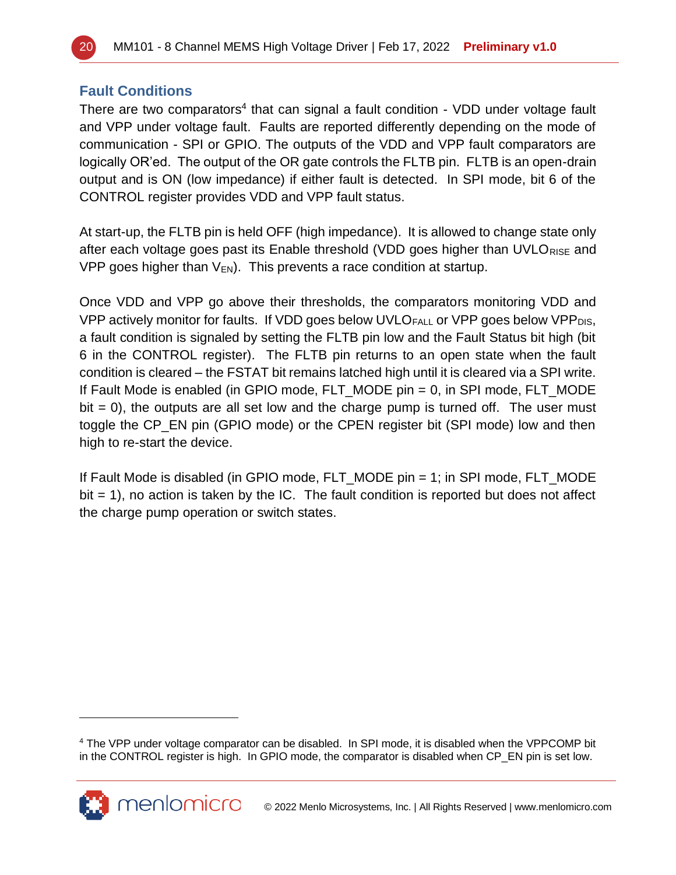

#### **Fault Conditions**

There are two comparators<sup>4</sup> that can signal a fault condition - VDD under voltage fault and VPP under voltage fault. Faults are reported differently depending on the mode of communication - SPI or GPIO. The outputs of the VDD and VPP fault comparators are logically OR'ed. The output of the OR gate controls the FLTB pin. FLTB is an open-drain output and is ON (low impedance) if either fault is detected. In SPI mode, bit 6 of the CONTROL register provides VDD and VPP fault status.

At start-up, the FLTB pin is held OFF (high impedance). It is allowed to change state only after each voltage goes past its Enable threshold (VDD goes higher than UVLO<sub>RISE</sub> and VPP goes higher than  $V_{EN}$ . This prevents a race condition at startup.

Once VDD and VPP go above their thresholds, the comparators monitoring VDD and VPP actively monitor for faults. If VDD goes below UVLO $_{FALL}$  or VPP goes below VPP $_{DIS}$ , a fault condition is signaled by setting the FLTB pin low and the Fault Status bit high (bit 6 in the CONTROL register). The FLTB pin returns to an open state when the fault condition is cleared – the FSTAT bit remains latched high until it is cleared via a SPI write. If Fault Mode is enabled (in GPIO mode, FLT\_MODE pin = 0, in SPI mode, FLT\_MODE  $bit = 0$ , the outputs are all set low and the charge pump is turned off. The user must toggle the CP\_EN pin (GPIO mode) or the CPEN register bit (SPI mode) low and then high to re-start the device.

If Fault Mode is disabled (in GPIO mode, FLT\_MODE pin = 1; in SPI mode, FLT\_MODE  $bit = 1$ , no action is taken by the IC. The fault condition is reported but does not affect the charge pump operation or switch states.

<sup>4</sup> The VPP under voltage comparator can be disabled. In SPI mode, it is disabled when the VPPCOMP bit in the CONTROL register is high. In GPIO mode, the comparator is disabled when CP\_EN pin is set low.

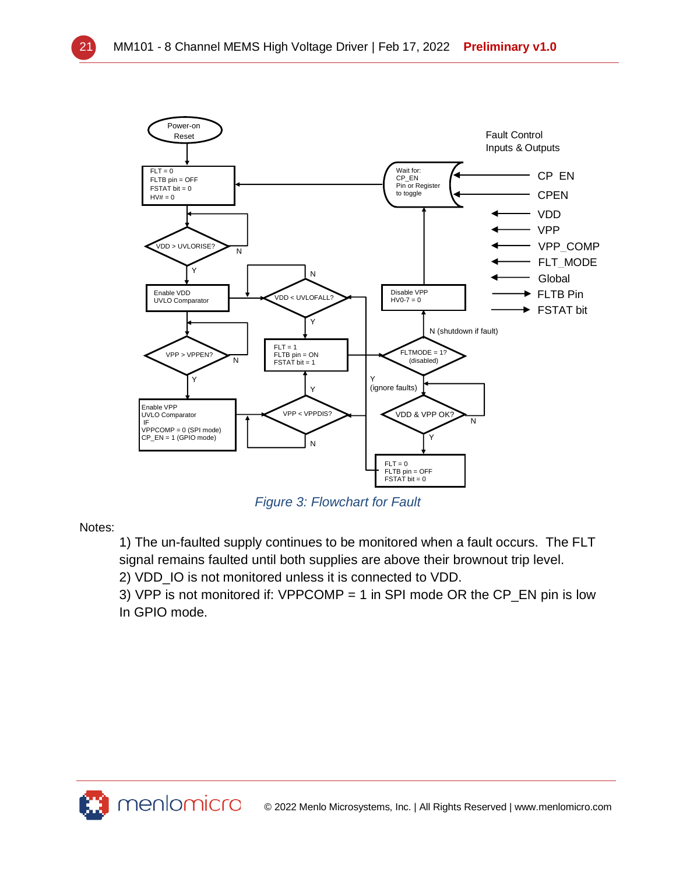

*Figure 3: Flowchart for Fault*

Notes:

1) The un-faulted supply continues to be monitored when a fault occurs. The FLT signal remains faulted until both supplies are above their brownout trip level.

2) VDD\_IO is not monitored unless it is connected to VDD.

3) VPP is not monitored if: VPPCOMP = 1 in SPI mode OR the CP\_EN pin is low In GPIO mode.

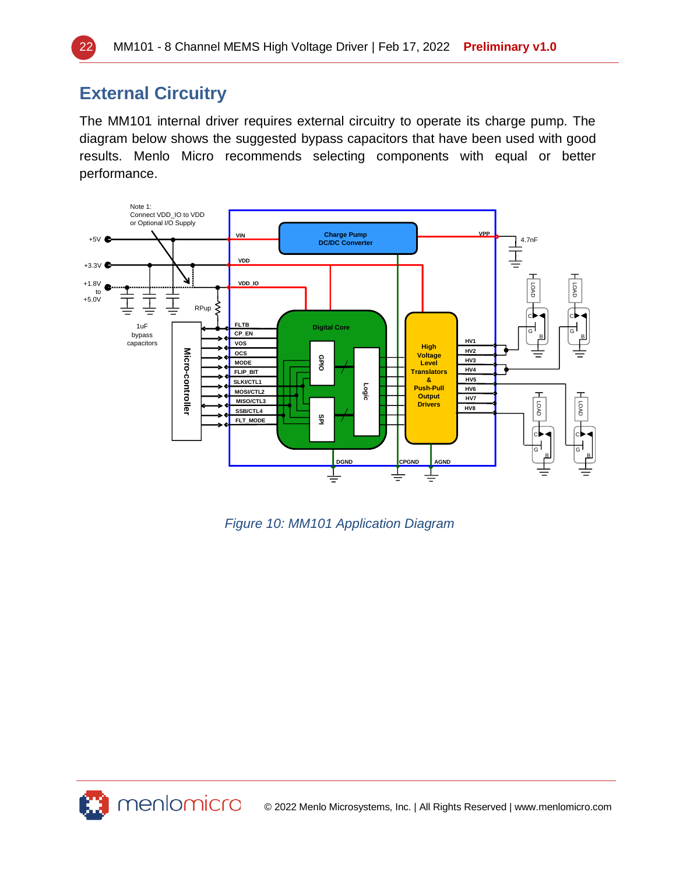# **External Circuitry**

The MM101 internal driver requires external circuitry to operate its charge pump. The diagram below shows the suggested bypass capacitors that have been used with good results. Menlo Micro recommends selecting components with equal or better performance.



*Figure 10: MM101 Application Diagram*



© 2022 Menlo Microsystems, Inc. | All Rights Reserved | www.menlomicro.com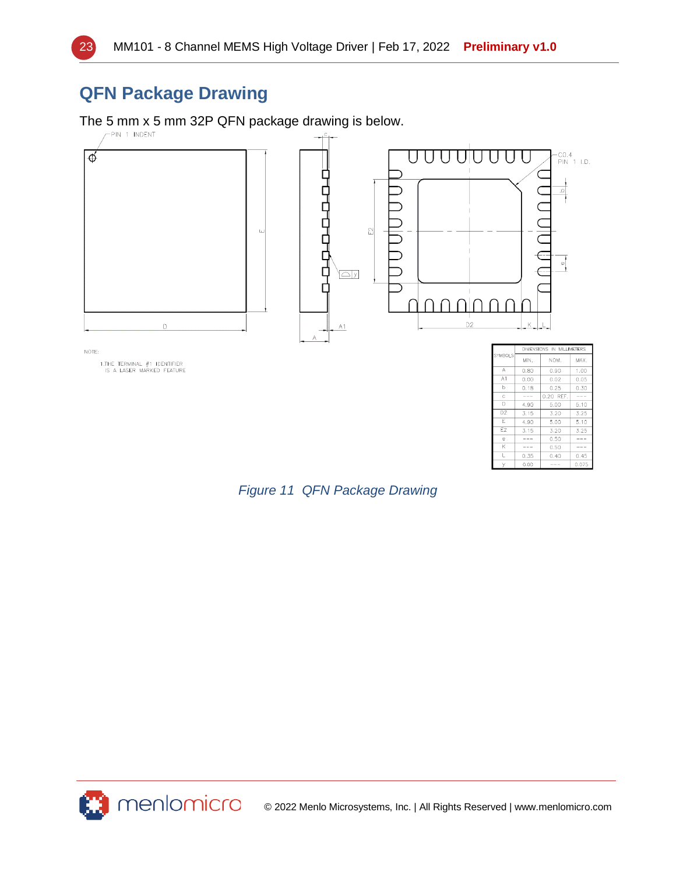

# **QFN Package Drawing**

The 5 mm x 5 mm 32P QFN package drawing is below.



| <b>Figure 11 QFN Package Drawing</b> |
|--------------------------------------|



© 2022 Menlo Microsystems, Inc. | All Rights Reserved | www.menlomicro.com

 $\frac{5.00}{3.20}$ 

 $0.50$ 

 $0.50$ 

 $0.40$ 

 $5.10$  $3.25$ 

 $\frac{1}{1}$ 

 $0.45$ 

E

E<sub>2</sub>

 $4.90$ 

 $3.15$ 

 $-- \overline{\phantom{a}}$ 

 $0.35$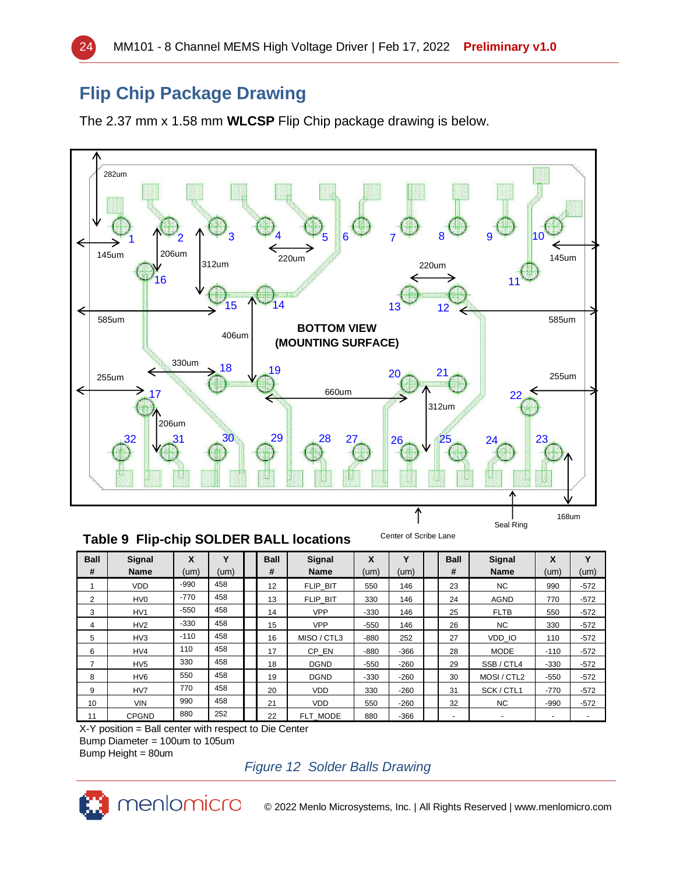# **Flip Chip Package Drawing**

The 2.37 mm x 1.58 mm **WLCSP** Flip Chip package drawing is below.



#### **Table 9 Flip-chip SOLDER BALL locations**

| <b>Ball</b>    | <b>Signal</b>   | X      | v    | <b>Ball</b> | Signal      | X      | Υ      | <b>Ball</b> | <b>Signal</b> | X      | $\checkmark$ |
|----------------|-----------------|--------|------|-------------|-------------|--------|--------|-------------|---------------|--------|--------------|
| #              | <b>Name</b>     | (num)  | (um) | #           | <b>Name</b> | (um)   | (um)   | #           | <b>Name</b>   | (um)   | (num)        |
|                | <b>VDD</b>      | $-990$ | 458  | 12          | FLIP BIT    | 550    | 146    | 23          | NC.           | 990    | $-572$       |
| $\overline{2}$ | HV <sub>0</sub> | $-770$ | 458  | 13          | FLIP BIT    | 330    | 146    | 24          | <b>AGND</b>   | 770    | $-572$       |
| 3              | HV <sub>1</sub> | $-550$ | 458  | 14          | <b>VPP</b>  | $-330$ | 146    | 25          | <b>FLTB</b>   | 550    | $-572$       |
| 4              | HV2             | $-330$ | 458  | 15          | <b>VPP</b>  | $-550$ | 146    | 26          | <b>NC</b>     | 330    | $-572$       |
| 5              | HV3             | $-110$ | 458  | 16          | MISO / CTL3 | $-880$ | 252    | 27          | VDD IO        | 110    | $-572$       |
| 6              | HV4             | 110    | 458  | 17          | CP EN       | $-880$ | $-366$ | 28          | <b>MODE</b>   | $-110$ | $-572$       |
|                | HV <sub>5</sub> | 330    | 458  | 18          | <b>DGND</b> | $-550$ | $-260$ | 29          | SSB / CTL4    | $-330$ | $-572$       |
| 8              | HV <sub>6</sub> | 550    | 458  | 19          | <b>DGND</b> | $-330$ | $-260$ | 30          | MOSI / CTL2   | $-550$ | $-572$       |
| 9              | HV7             | 770    | 458  | 20          | <b>VDD</b>  | 330    | $-260$ | 31          | SCK / CTL1    | $-770$ | $-572$       |
| 10             | <b>VIN</b>      | 990    | 458  | 21          | <b>VDD</b>  | 550    | $-260$ | 32          | NC.           | $-990$ | $-572$       |
| 11             | <b>CPGND</b>    | 880    | 252  | 22          | FLT MODE    | 880    | -366   |             |               | ۰      |              |

X-Y position = Ball center with respect to Die Center Bump Diameter = 100um to 105um

Bump Height = 80um

*Figure 12 Solder Balls Drawing*



© 2022 Menlo Microsystems, Inc. | All Rights Reserved | www.menlomicro.com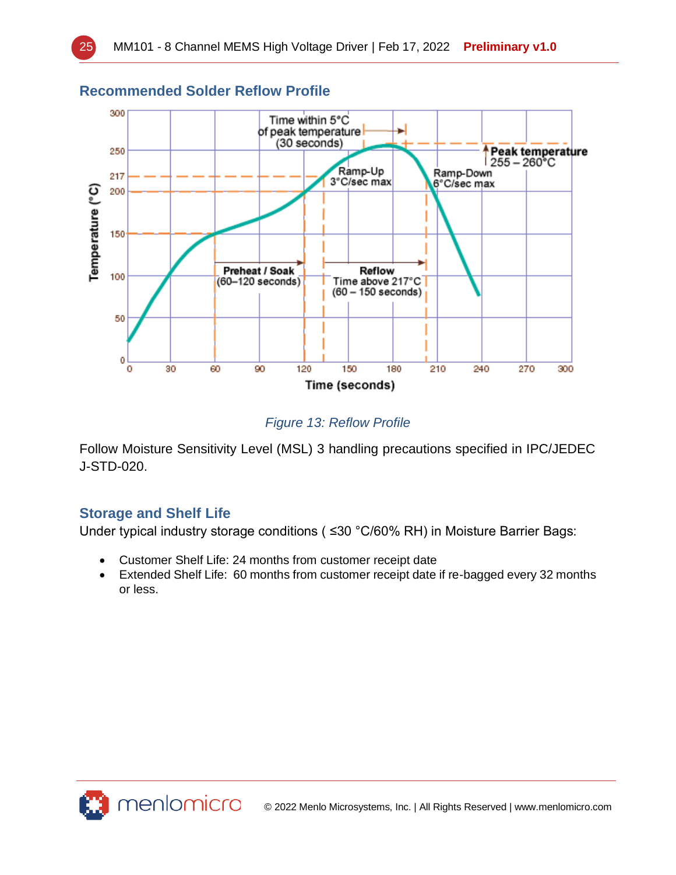

### **Recommended Solder Reflow Profile**

### *Figure 13: Reflow Profile*

Follow Moisture Sensitivity Level (MSL) 3 handling precautions specified in IPC/JEDEC J-STD-020.

# **Storage and Shelf Life**

Under typical industry storage conditions ( ≤30 °C/60% RH) in Moisture Barrier Bags:

- Customer Shelf Life: 24 months from customer receipt date
- Extended Shelf Life: 60 months from customer receipt date if re-bagged every 32 months or less.

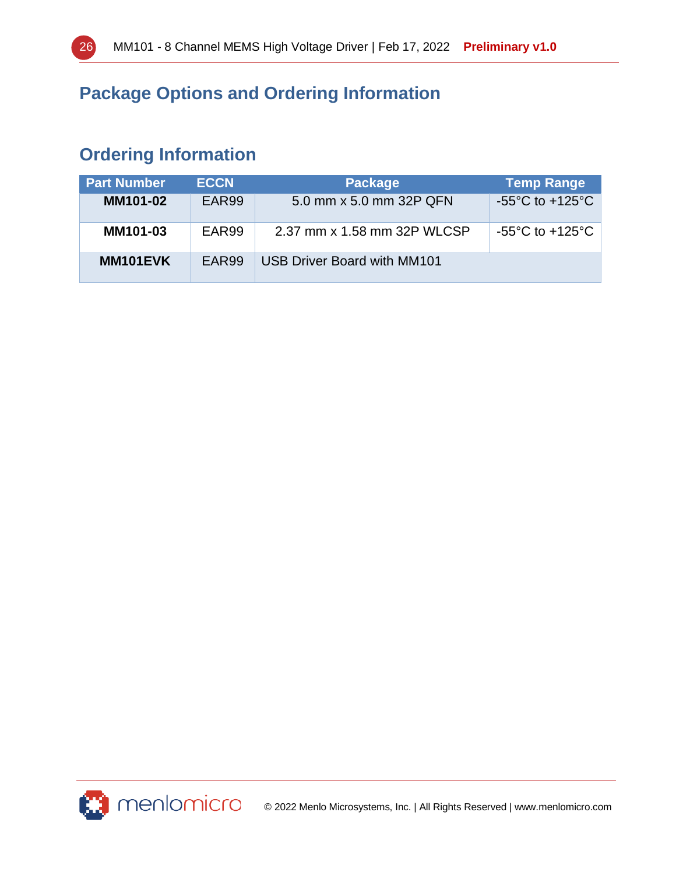

# **Package Options and Ordering Information**

# **Ordering Information**

| <b>Part Number</b> | <b>ECCN</b> | <b>Package</b>              | <b>Temp Range</b>                   |
|--------------------|-------------|-----------------------------|-------------------------------------|
| <b>MM101-02</b>    | EAR99       | 5.0 mm x 5.0 mm 32P QFN     | $-55^{\circ}$ C to $+125^{\circ}$ C |
| <b>MM101-03</b>    | EAR99       | 2.37 mm x 1.58 mm 32P WLCSP | $-55^{\circ}$ C to $+125^{\circ}$ C |
| MM101EVK           | EAR99       | USB Driver Board with MM101 |                                     |